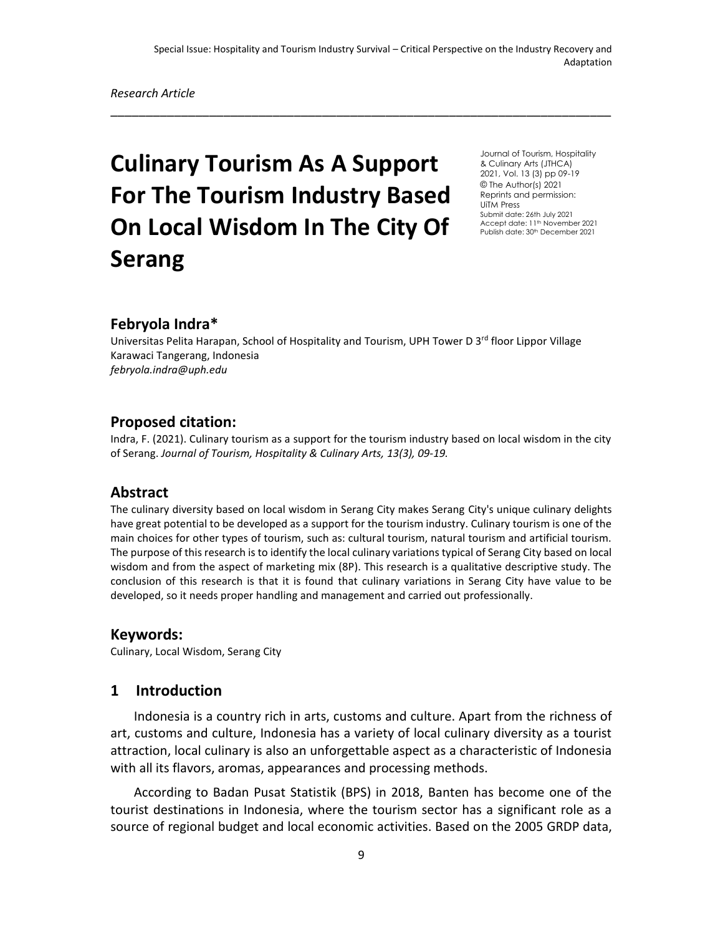\_\_\_\_\_\_\_\_\_\_\_\_\_\_\_\_\_\_\_\_\_\_\_\_\_\_\_\_\_\_\_\_\_\_\_\_\_\_\_\_\_\_\_\_\_\_\_\_\_\_\_\_\_\_\_\_\_\_\_\_\_\_\_\_\_\_\_\_\_\_\_

# **Culinary Tourism As A Support For The Tourism Industry Based On Local Wisdom In The City Of Serang**

Journal of Tourism, Hospitality & Culinary Arts (JTHCA) 2021, Vol. 13 (3) pp 09-19 © The Author(s) 2021 Reprints and permission: UiTM Press Submit date: 26th July 2021 Accept date: 11<sup>th</sup> November 2021 Publish date: 30<sup>th</sup> December 2021

## **Febryola Indra\***

Universitas Pelita Harapan, School of Hospitality and Tourism, UPH Tower D 3<sup>rd</sup> floor Lippor Village Karawaci Tangerang, Indonesia *febryola.indra@uph.edu*

## **Proposed citation:**

Indra, F. (2021). Culinary tourism as a support for the tourism industry based on local wisdom in the city of Serang. *Journal of Tourism, Hospitality & Culinary Arts, 13(3), 09-19.*

## **Abstract**

The culinary diversity based on local wisdom in Serang City makes Serang City's unique culinary delights have great potential to be developed as a support for the tourism industry. Culinary tourism is one of the main choices for other types of tourism, such as: cultural tourism, natural tourism and artificial tourism. The purpose of this research is to identify the local culinary variations typical of Serang City based on local wisdom and from the aspect of marketing mix (8P). This research is a qualitative descriptive study. The conclusion of this research is that it is found that culinary variations in Serang City have value to be developed, so it needs proper handling and management and carried out professionally.

#### **Keywords:**

Culinary, Local Wisdom, Serang City

## **1 Introduction**

Indonesia is a country rich in arts, customs and culture. Apart from the richness of art, customs and culture, Indonesia has a variety of local culinary diversity as a tourist attraction, local culinary is also an unforgettable aspect as a characteristic of Indonesia with all its flavors, aromas, appearances and processing methods.

According to Badan Pusat Statistik (BPS) in 2018, Banten has become one of the tourist destinations in Indonesia, where the tourism sector has a significant role as a source of regional budget and local economic activities. Based on the 2005 GRDP data,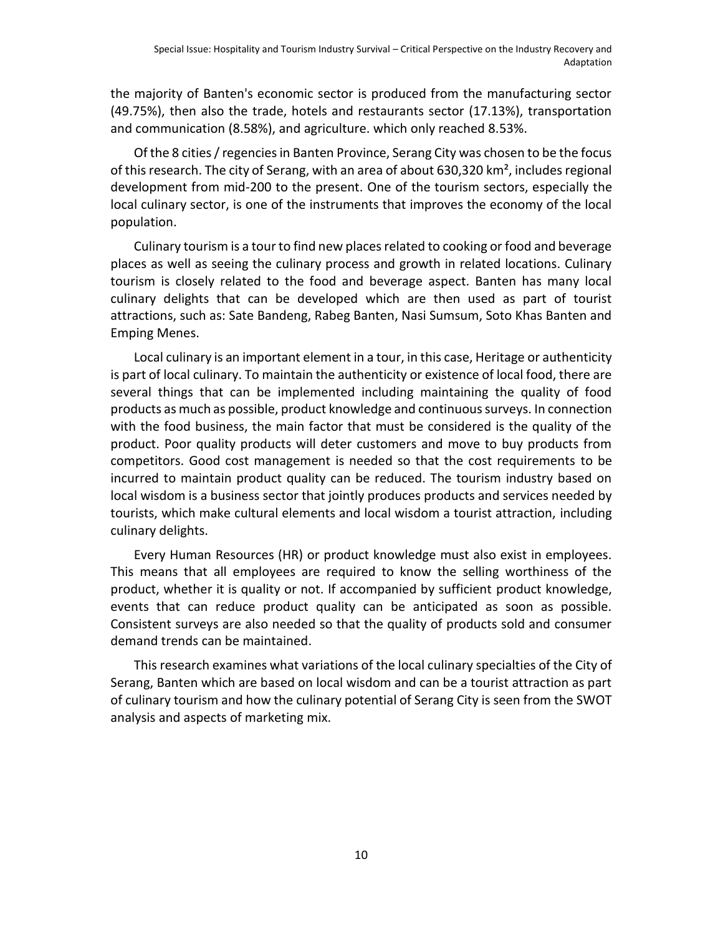the majority of Banten's economic sector is produced from the manufacturing sector (49.75%), then also the trade, hotels and restaurants sector (17.13%), transportation and communication (8.58%), and agriculture. which only reached 8.53%.

Of the 8 cities / regencies in Banten Province, Serang City was chosen to be the focus of this research. The city of Serang, with an area of about 630,320 km², includes regional development from mid-200 to the present. One of the tourism sectors, especially the local culinary sector, is one of the instruments that improves the economy of the local population.

Culinary tourism is a tour to find new places related to cooking or food and beverage places as well as seeing the culinary process and growth in related locations. Culinary tourism is closely related to the food and beverage aspect. Banten has many local culinary delights that can be developed which are then used as part of tourist attractions, such as: Sate Bandeng, Rabeg Banten, Nasi Sumsum, Soto Khas Banten and Emping Menes.

Local culinary is an important element in a tour, in this case, Heritage or authenticity is part of local culinary. To maintain the authenticity or existence of local food, there are several things that can be implemented including maintaining the quality of food products as much as possible, product knowledge and continuous surveys. In connection with the food business, the main factor that must be considered is the quality of the product. Poor quality products will deter customers and move to buy products from competitors. Good cost management is needed so that the cost requirements to be incurred to maintain product quality can be reduced. The tourism industry based on local wisdom is a business sector that jointly produces products and services needed by tourists, which make cultural elements and local wisdom a tourist attraction, including culinary delights.

Every Human Resources (HR) or product knowledge must also exist in employees. This means that all employees are required to know the selling worthiness of the product, whether it is quality or not. If accompanied by sufficient product knowledge, events that can reduce product quality can be anticipated as soon as possible. Consistent surveys are also needed so that the quality of products sold and consumer demand trends can be maintained.

This research examines what variations of the local culinary specialties of the City of Serang, Banten which are based on local wisdom and can be a tourist attraction as part of culinary tourism and how the culinary potential of Serang City is seen from the SWOT analysis and aspects of marketing mix.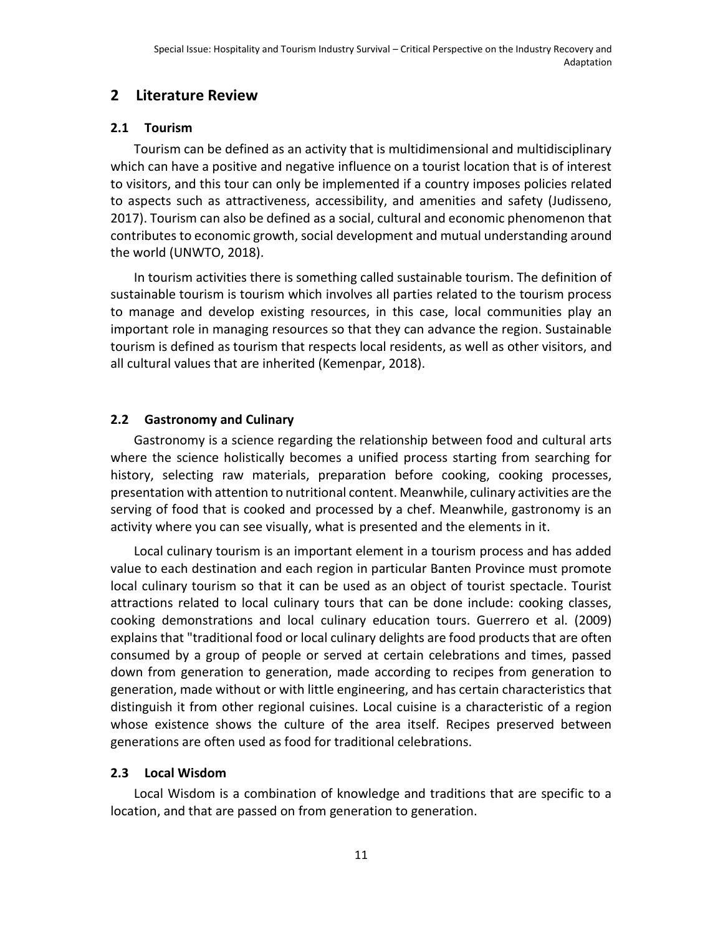## **2 Literature Review**

#### **2.1 Tourism**

Tourism can be defined as an activity that is multidimensional and multidisciplinary which can have a positive and negative influence on a tourist location that is of interest to visitors, and this tour can only be implemented if a country imposes policies related to aspects such as attractiveness, accessibility, and amenities and safety (Judisseno, 2017). Tourism can also be defined as a social, cultural and economic phenomenon that contributes to economic growth, social development and mutual understanding around the world (UNWTO, 2018).

In tourism activities there is something called sustainable tourism. The definition of sustainable tourism is tourism which involves all parties related to the tourism process to manage and develop existing resources, in this case, local communities play an important role in managing resources so that they can advance the region. Sustainable tourism is defined as tourism that respects local residents, as well as other visitors, and all cultural values that are inherited (Kemenpar, 2018).

## **2.2 Gastronomy and Culinary**

Gastronomy is a science regarding the relationship between food and cultural arts where the science holistically becomes a unified process starting from searching for history, selecting raw materials, preparation before cooking, cooking processes, presentation with attention to nutritional content. Meanwhile, culinary activities are the serving of food that is cooked and processed by a chef. Meanwhile, gastronomy is an activity where you can see visually, what is presented and the elements in it.

Local culinary tourism is an important element in a tourism process and has added value to each destination and each region in particular Banten Province must promote local culinary tourism so that it can be used as an object of tourist spectacle. Tourist attractions related to local culinary tours that can be done include: cooking classes, cooking demonstrations and local culinary education tours. Guerrero et al. (2009) explains that "traditional food or local culinary delights are food products that are often consumed by a group of people or served at certain celebrations and times, passed down from generation to generation, made according to recipes from generation to generation, made without or with little engineering, and has certain characteristics that distinguish it from other regional cuisines. Local cuisine is a characteristic of a region whose existence shows the culture of the area itself. Recipes preserved between generations are often used as food for traditional celebrations.

## **2.3 Local Wisdom**

Local Wisdom is a combination of knowledge and traditions that are specific to a location, and that are passed on from generation to generation.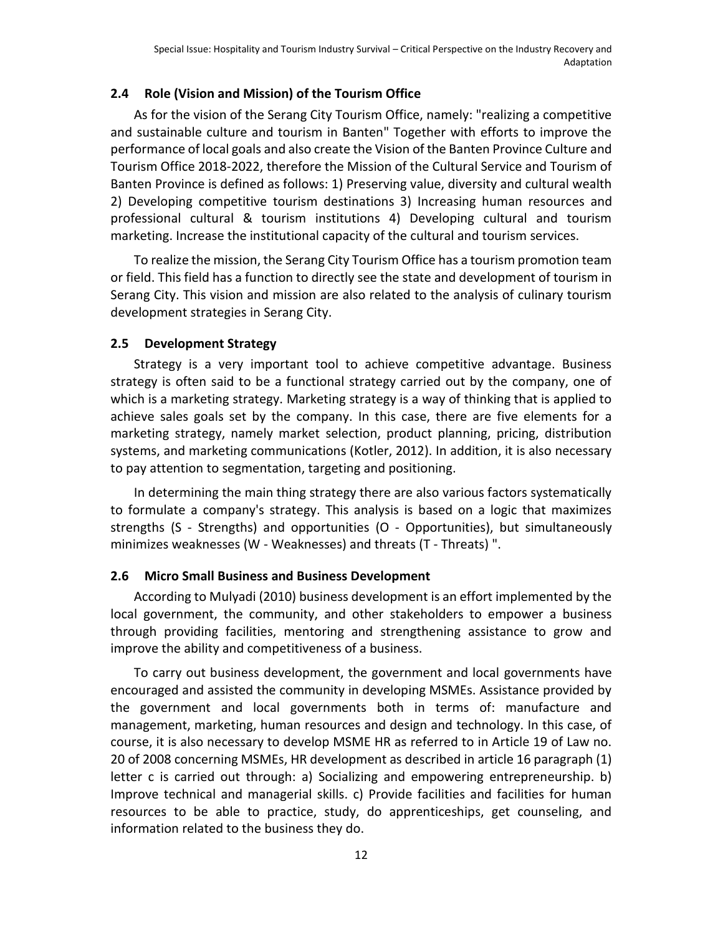#### **2.4 Role (Vision and Mission) of the Tourism Office**

As for the vision of the Serang City Tourism Office, namely: "realizing a competitive and sustainable culture and tourism in Banten" Together with efforts to improve the performance of local goals and also create the Vision of the Banten Province Culture and Tourism Office 2018-2022, therefore the Mission of the Cultural Service and Tourism of Banten Province is defined as follows: 1) Preserving value, diversity and cultural wealth 2) Developing competitive tourism destinations 3) Increasing human resources and professional cultural & tourism institutions 4) Developing cultural and tourism marketing. Increase the institutional capacity of the cultural and tourism services.

To realize the mission, the Serang City Tourism Office has a tourism promotion team or field. This field has a function to directly see the state and development of tourism in Serang City. This vision and mission are also related to the analysis of culinary tourism development strategies in Serang City.

#### **2.5 Development Strategy**

Strategy is a very important tool to achieve competitive advantage. Business strategy is often said to be a functional strategy carried out by the company, one of which is a marketing strategy. Marketing strategy is a way of thinking that is applied to achieve sales goals set by the company. In this case, there are five elements for a marketing strategy, namely market selection, product planning, pricing, distribution systems, and marketing communications (Kotler, 2012). In addition, it is also necessary to pay attention to segmentation, targeting and positioning.

In determining the main thing strategy there are also various factors systematically to formulate a company's strategy. This analysis is based on a logic that maximizes strengths (S - Strengths) and opportunities (O - Opportunities), but simultaneously minimizes weaknesses (W - Weaknesses) and threats (T - Threats) ".

#### **2.6 Micro Small Business and Business Development**

According to Mulyadi (2010) business development is an effort implemented by the local government, the community, and other stakeholders to empower a business through providing facilities, mentoring and strengthening assistance to grow and improve the ability and competitiveness of a business.

To carry out business development, the government and local governments have encouraged and assisted the community in developing MSMEs. Assistance provided by the government and local governments both in terms of: manufacture and management, marketing, human resources and design and technology. In this case, of course, it is also necessary to develop MSME HR as referred to in Article 19 of Law no. 20 of 2008 concerning MSMEs, HR development as described in article 16 paragraph (1) letter c is carried out through: a) Socializing and empowering entrepreneurship. b) Improve technical and managerial skills. c) Provide facilities and facilities for human resources to be able to practice, study, do apprenticeships, get counseling, and information related to the business they do.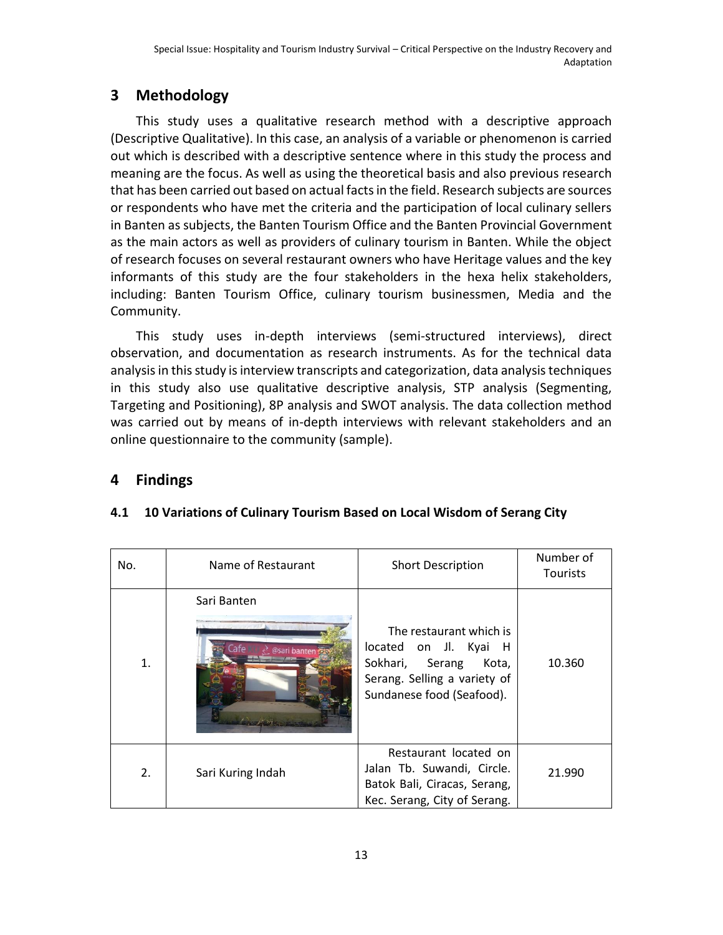# **3 Methodology**

This study uses a qualitative research method with a descriptive approach (Descriptive Qualitative). In this case, an analysis of a variable or phenomenon is carried out which is described with a descriptive sentence where in this study the process and meaning are the focus. As well as using the theoretical basis and also previous research that has been carried out based on actual facts in the field. Research subjects are sources or respondents who have met the criteria and the participation of local culinary sellers in Banten as subjects, the Banten Tourism Office and the Banten Provincial Government as the main actors as well as providers of culinary tourism in Banten. While the object of research focuses on several restaurant owners who have Heritage values and the key informants of this study are the four stakeholders in the hexa helix stakeholders, including: Banten Tourism Office, culinary tourism businessmen, Media and the Community.

This study uses in-depth interviews (semi-structured interviews), direct observation, and documentation as research instruments. As for the technical data analysis in this study is interview transcripts and categorization, data analysis techniques in this study also use qualitative descriptive analysis, STP analysis (Segmenting, Targeting and Positioning), 8P analysis and SWOT analysis. The data collection method was carried out by means of in-depth interviews with relevant stakeholders and an online questionnaire to the community (sample).

## **4 Findings**

| No. | Name of Restaurant          | <b>Short Description</b>                                                                                                                     | Number of<br><b>Tourists</b> |
|-----|-----------------------------|----------------------------------------------------------------------------------------------------------------------------------------------|------------------------------|
| 1.  | Sari Banten<br>@sari banter | The restaurant which is<br>located on Jl. Kyai H<br>Sokhari,<br>Serang<br>Kota,<br>Serang. Selling a variety of<br>Sundanese food (Seafood). | 10.360                       |
| 2.  | Sari Kuring Indah           | Restaurant located on<br>Jalan Tb. Suwandi, Circle.<br>Batok Bali, Ciracas, Serang,<br>Kec. Serang, City of Serang.                          | 21.990                       |

## **4.1 10 Variations of Culinary Tourism Based on Local Wisdom of Serang City**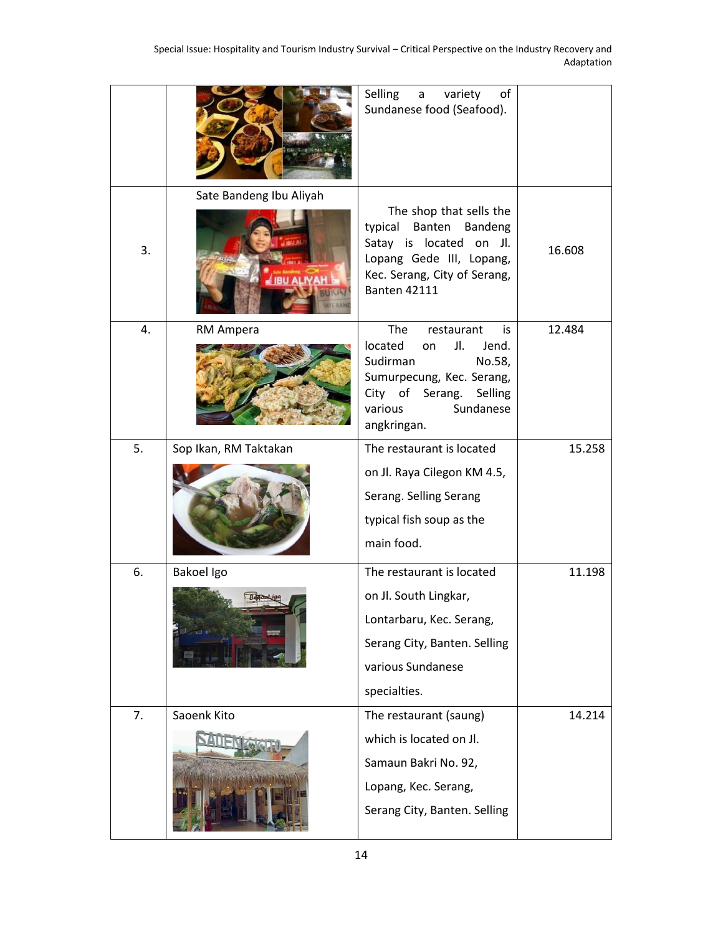|    |                                             | Selling<br>variety<br>of<br>a<br>Sundanese food (Seafood).                                                                                                                              |        |
|----|---------------------------------------------|-----------------------------------------------------------------------------------------------------------------------------------------------------------------------------------------|--------|
| 3. | Sate Bandeng Ibu Aliyah<br><b>BU ALIYAH</b> | The shop that sells the<br>typical<br>Banten<br>Bandeng<br>Satay is located on Jl.<br>Lopang Gede III, Lopang,<br>Kec. Serang, City of Serang,<br><b>Banten 42111</b>                   | 16.608 |
| 4. | RM Ampera                                   | <b>The</b><br>restaurant<br>is<br>located<br>JI.<br>Jend.<br>on<br>Sudirman<br>No.58,<br>Sumurpecung, Kec. Serang,<br>City of<br>Serang. Selling<br>various<br>Sundanese<br>angkringan. | 12.484 |
| 5. | Sop Ikan, RM Taktakan                       | The restaurant is located<br>on Jl. Raya Cilegon KM 4.5,<br>Serang. Selling Serang<br>typical fish soup as the<br>main food.                                                            | 15.258 |
| 6. | Bakoel Igo                                  | The restaurant is located<br>on Jl. South Lingkar,<br>Lontarbaru, Kec. Serang,<br>Serang City, Banten. Selling<br>various Sundanese<br>specialties.                                     | 11.198 |
| 7. | Saoenk Kito                                 | The restaurant (saung)<br>which is located on Jl.<br>Samaun Bakri No. 92,<br>Lopang, Kec. Serang,<br>Serang City, Banten. Selling                                                       | 14.214 |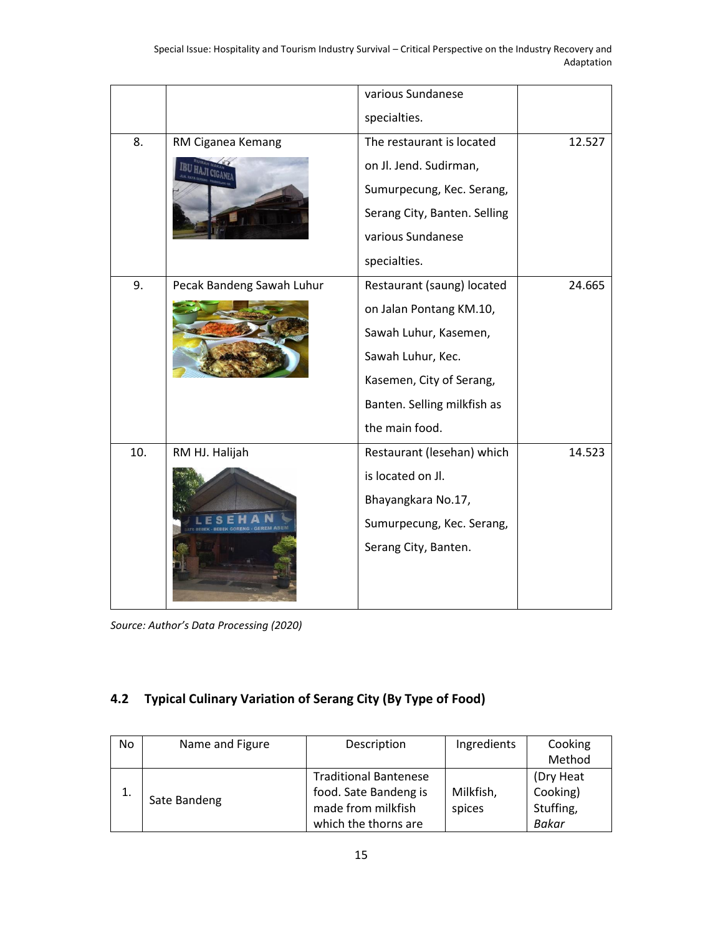|     |                           | various Sundanese            |        |
|-----|---------------------------|------------------------------|--------|
|     |                           | specialties.                 |        |
| 8.  | RM Ciganea Kemang         | The restaurant is located    | 12.527 |
|     |                           | on Jl. Jend. Sudirman,       |        |
|     |                           | Sumurpecung, Kec. Serang,    |        |
|     |                           | Serang City, Banten. Selling |        |
|     |                           | various Sundanese            |        |
|     |                           | specialties.                 |        |
| 9.  | Pecak Bandeng Sawah Luhur | Restaurant (saung) located   | 24.665 |
|     |                           | on Jalan Pontang KM.10,      |        |
|     |                           | Sawah Luhur, Kasemen,        |        |
|     |                           | Sawah Luhur, Kec.            |        |
|     |                           | Kasemen, City of Serang,     |        |
|     |                           | Banten. Selling milkfish as  |        |
|     |                           | the main food.               |        |
| 10. | RM HJ. Halijah            | Restaurant (lesehan) which   | 14.523 |
|     |                           | is located on Jl.            |        |
|     |                           | Bhayangkara No.17,           |        |
|     |                           | Sumurpecung, Kec. Serang,    |        |
|     |                           | Serang City, Banten.         |        |

*Source: Author's Data Processing (2020)*

## **4.2 Typical Culinary Variation of Serang City (By Type of Food)**

| No. | Name and Figure | Description                  | Ingredients | Cooking      |
|-----|-----------------|------------------------------|-------------|--------------|
|     |                 |                              |             | Method       |
|     |                 | <b>Traditional Bantenese</b> |             | (Dry Heat    |
|     | Sate Bandeng    | food. Sate Bandeng is        | Milkfish,   | Cooking)     |
|     |                 | made from milkfish           | spices      | Stuffing,    |
|     |                 | which the thorns are         |             | <b>Bakar</b> |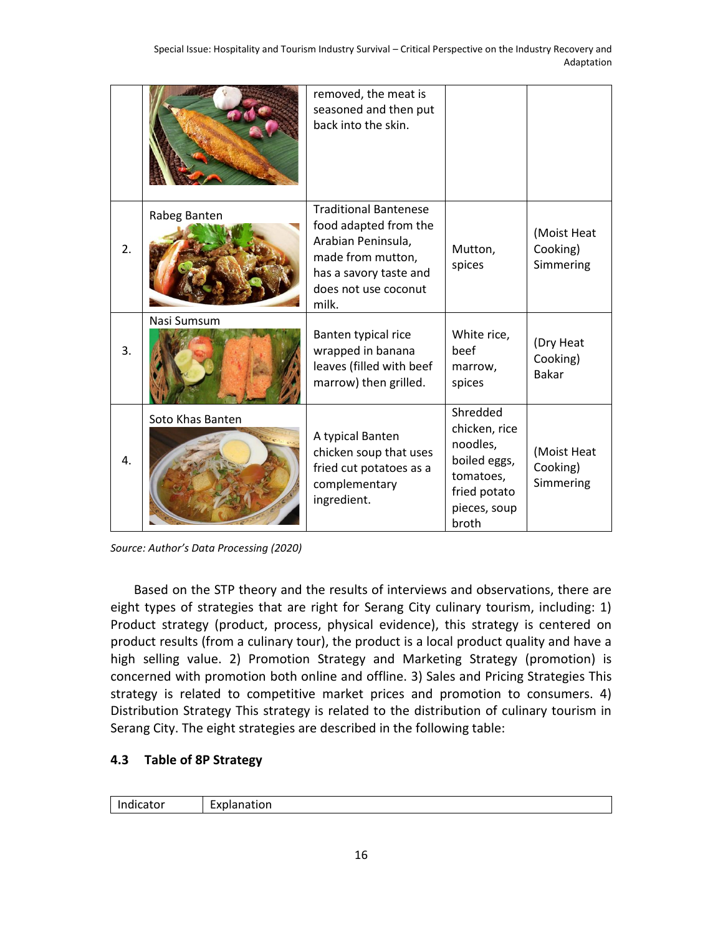|    |                  | removed, the meat is<br>seasoned and then put<br>back into the skin.                                                                                        |                                                                                                             |                                       |
|----|------------------|-------------------------------------------------------------------------------------------------------------------------------------------------------------|-------------------------------------------------------------------------------------------------------------|---------------------------------------|
|    |                  |                                                                                                                                                             |                                                                                                             |                                       |
| 2. | Rabeg Banten     | <b>Traditional Bantenese</b><br>food adapted from the<br>Arabian Peninsula,<br>made from mutton,<br>has a savory taste and<br>does not use coconut<br>milk. | Mutton.<br>spices                                                                                           | (Moist Heat<br>Cooking)<br>Simmering  |
| 3. | Nasi Sumsum      | Banten typical rice<br>wrapped in banana<br>leaves (filled with beef<br>marrow) then grilled.                                                               | White rice,<br>beef<br>marrow,<br>spices                                                                    | (Dry Heat<br>Cooking)<br><b>Bakar</b> |
| 4. | Soto Khas Banten | A typical Banten<br>chicken soup that uses<br>fried cut potatoes as a<br>complementary<br>ingredient.                                                       | Shredded<br>chicken, rice<br>noodles,<br>boiled eggs,<br>tomatoes,<br>fried potato<br>pieces, soup<br>broth | (Moist Heat<br>Cooking)<br>Simmering  |

*Source: Author's Data Processing (2020)*

Based on the STP theory and the results of interviews and observations, there are eight types of strategies that are right for Serang City culinary tourism, including: 1) Product strategy (product, process, physical evidence), this strategy is centered on product results (from a culinary tour), the product is a local product quality and have a high selling value. 2) Promotion Strategy and Marketing Strategy (promotion) is concerned with promotion both online and offline. 3) Sales and Pricing Strategies This strategy is related to competitive market prices and promotion to consumers. 4) Distribution Strategy This strategy is related to the distribution of culinary tourism in Serang City. The eight strategies are described in the following table:

## **4.3 Table of 8P Strategy**

| cator |              |
|-------|--------------|
| .     | 'Χl          |
| ш     | Explairation |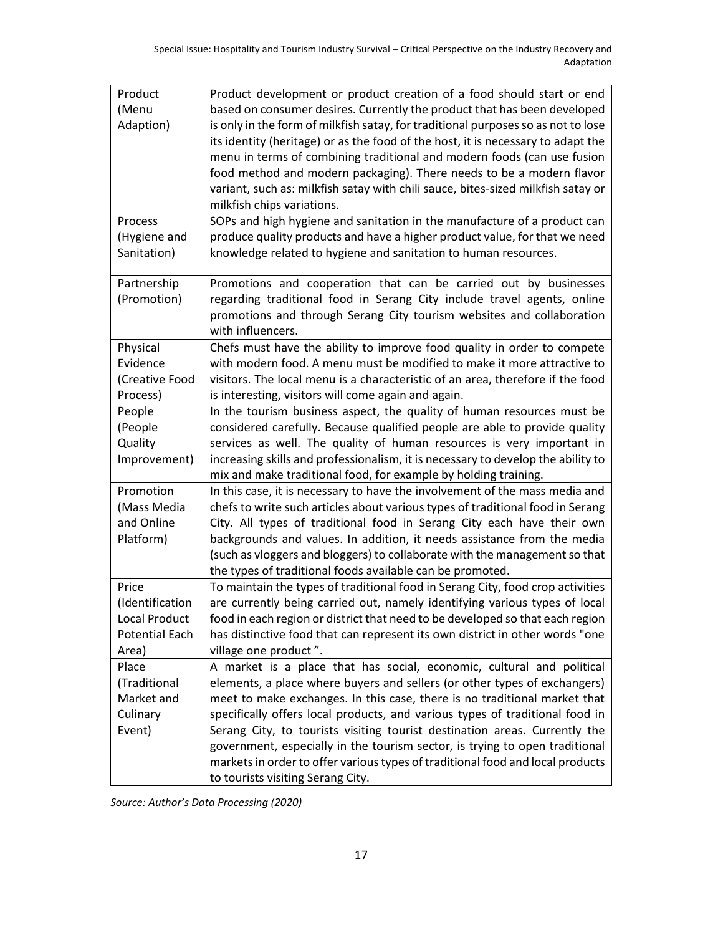| Product               | Product development or product creation of a food should start or end             |
|-----------------------|-----------------------------------------------------------------------------------|
| (Menu                 | based on consumer desires. Currently the product that has been developed          |
| Adaption)             | is only in the form of milkfish satay, for traditional purposes so as not to lose |
|                       | its identity (heritage) or as the food of the host, it is necessary to adapt the  |
|                       | menu in terms of combining traditional and modern foods (can use fusion           |
|                       | food method and modern packaging). There needs to be a modern flavor              |
|                       | variant, such as: milkfish satay with chili sauce, bites-sized milkfish satay or  |
|                       | milkfish chips variations.                                                        |
| Process               | SOPs and high hygiene and sanitation in the manufacture of a product can          |
| (Hygiene and          | produce quality products and have a higher product value, for that we need        |
| Sanitation)           | knowledge related to hygiene and sanitation to human resources.                   |
|                       |                                                                                   |
| Partnership           | Promotions and cooperation that can be carried out by businesses                  |
| (Promotion)           | regarding traditional food in Serang City include travel agents, online           |
|                       | promotions and through Serang City tourism websites and collaboration             |
|                       | with influencers.                                                                 |
| Physical              | Chefs must have the ability to improve food quality in order to compete           |
| Evidence              | with modern food. A menu must be modified to make it more attractive to           |
| (Creative Food        | visitors. The local menu is a characteristic of an area, therefore if the food    |
| Process)              | is interesting, visitors will come again and again.                               |
| People                | In the tourism business aspect, the quality of human resources must be            |
| (People               | considered carefully. Because qualified people are able to provide quality        |
| Quality               | services as well. The quality of human resources is very important in             |
| Improvement)          | increasing skills and professionalism, it is necessary to develop the ability to  |
|                       | mix and make traditional food, for example by holding training.                   |
| Promotion             | In this case, it is necessary to have the involvement of the mass media and       |
| (Mass Media           | chefs to write such articles about various types of traditional food in Serang    |
| and Online            | City. All types of traditional food in Serang City each have their own            |
| Platform)             | backgrounds and values. In addition, it needs assistance from the media           |
|                       | (such as vloggers and bloggers) to collaborate with the management so that        |
|                       | the types of traditional foods available can be promoted.                         |
| Price                 | To maintain the types of traditional food in Serang City, food crop activities    |
| (Identification       | are currently being carried out, namely identifying various types of local        |
| Local Product         | food in each region or district that need to be developed so that each region     |
| <b>Potential Each</b> | has distinctive food that can represent its own district in other words "one      |
| Area)                 | village one product".                                                             |
| Place                 | A market is a place that has social, economic, cultural and political             |
| (Traditional          | elements, a place where buyers and sellers (or other types of exchangers)         |
| Market and            | meet to make exchanges. In this case, there is no traditional market that         |
| Culinary              | specifically offers local products, and various types of traditional food in      |
| Event)                | Serang City, to tourists visiting tourist destination areas. Currently the        |
|                       | government, especially in the tourism sector, is trying to open traditional       |
|                       | markets in order to offer various types of traditional food and local products    |
|                       | to tourists visiting Serang City.                                                 |

*Source: Author's Data Processing (2020)*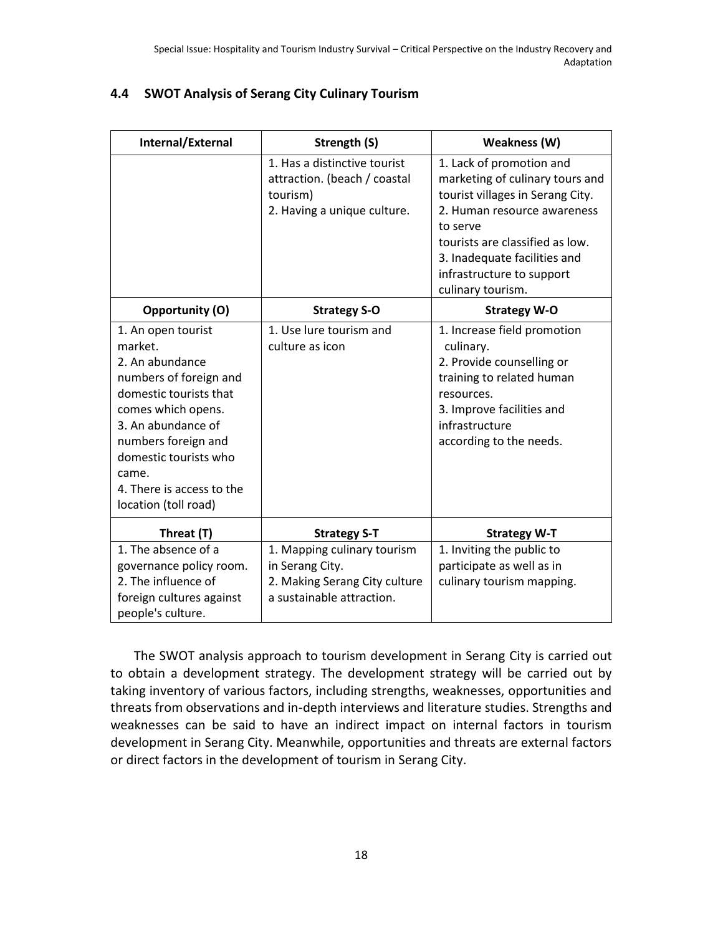| Internal/External                                                                                                                                                                                                                                              | Strength (S)                                                                                                 | Weakness (W)                                                                                                                                                                                                                                                    |
|----------------------------------------------------------------------------------------------------------------------------------------------------------------------------------------------------------------------------------------------------------------|--------------------------------------------------------------------------------------------------------------|-----------------------------------------------------------------------------------------------------------------------------------------------------------------------------------------------------------------------------------------------------------------|
|                                                                                                                                                                                                                                                                | 1. Has a distinctive tourist<br>attraction. (beach / coastal<br>tourism)<br>2. Having a unique culture.      | 1. Lack of promotion and<br>marketing of culinary tours and<br>tourist villages in Serang City.<br>2. Human resource awareness<br>to serve<br>tourists are classified as low.<br>3. Inadequate facilities and<br>infrastructure to support<br>culinary tourism. |
| <b>Opportunity (O)</b>                                                                                                                                                                                                                                         | <b>Strategy S-O</b>                                                                                          | <b>Strategy W-O</b>                                                                                                                                                                                                                                             |
| 1. An open tourist<br>market.<br>2. An abundance<br>numbers of foreign and<br>domestic tourists that<br>comes which opens.<br>3. An abundance of<br>numbers foreign and<br>domestic tourists who<br>came.<br>4. There is access to the<br>location (toll road) | 1. Use lure tourism and<br>culture as icon                                                                   | 1. Increase field promotion<br>culinary.<br>2. Provide counselling or<br>training to related human<br>resources.<br>3. Improve facilities and<br>infrastructure<br>according to the needs.                                                                      |
| Threat (T)                                                                                                                                                                                                                                                     | <b>Strategy S-T</b>                                                                                          | <b>Strategy W-T</b>                                                                                                                                                                                                                                             |
| 1. The absence of a<br>governance policy room.<br>2. The influence of<br>foreign cultures against<br>people's culture.                                                                                                                                         | 1. Mapping culinary tourism<br>in Serang City.<br>2. Making Serang City culture<br>a sustainable attraction. | 1. Inviting the public to<br>participate as well as in<br>culinary tourism mapping.                                                                                                                                                                             |

#### **4.4 SWOT Analysis of Serang City Culinary Tourism**

The SWOT analysis approach to tourism development in Serang City is carried out to obtain a development strategy. The development strategy will be carried out by taking inventory of various factors, including strengths, weaknesses, opportunities and threats from observations and in-depth interviews and literature studies. Strengths and weaknesses can be said to have an indirect impact on internal factors in tourism development in Serang City. Meanwhile, opportunities and threats are external factors or direct factors in the development of tourism in Serang City.